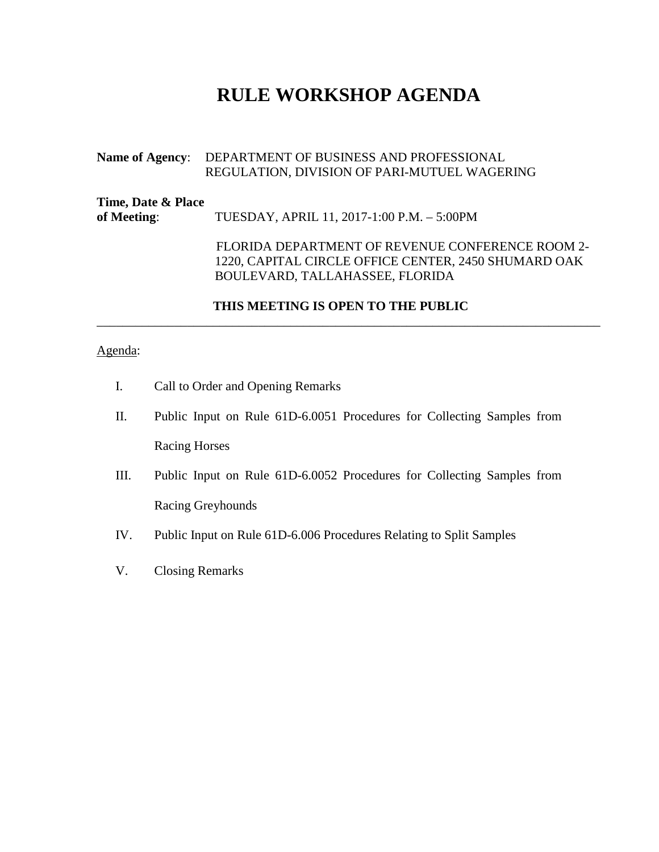# **RULE WORKSHOP AGENDA**

### **Name of Agency**: DEPARTMENT OF BUSINESS AND PROFESSIONAL REGULATION, DIVISION OF PARI-MUTUEL WAGERING

| Time, Date & Place<br>of Meeting: | TUESDAY, APRIL 11, 2017-1:00 P.M. - 5:00PM                                                                                                  |
|-----------------------------------|---------------------------------------------------------------------------------------------------------------------------------------------|
|                                   | FLORIDA DEPARTMENT OF REVENUE CONFERENCE ROOM 2-<br>1220, CAPITAL CIRCLE OFFICE CENTER, 2450 SHUMARD OAK<br>BOULEVARD, TALLAHASSEE, FLORIDA |

### **THIS MEETING IS OPEN TO THE PUBLIC**

\_\_\_\_\_\_\_\_\_\_\_\_\_\_\_\_\_\_\_\_\_\_\_\_\_\_\_\_\_\_\_\_\_\_\_\_\_\_\_\_\_\_\_\_\_\_\_\_\_\_\_\_\_\_\_\_\_\_\_\_\_\_\_\_\_\_\_\_\_\_\_\_\_\_\_\_\_\_

## Agenda:

- I. Call to Order and Opening Remarks
- II. Public Input on Rule 61D-6.0051 Procedures for Collecting Samples from Racing Horses
- III. Public Input on Rule 61D-6.0052 Procedures for Collecting Samples from Racing Greyhounds
- IV. Public Input on Rule 61D-6.006 Procedures Relating to Split Samples
- V. Closing Remarks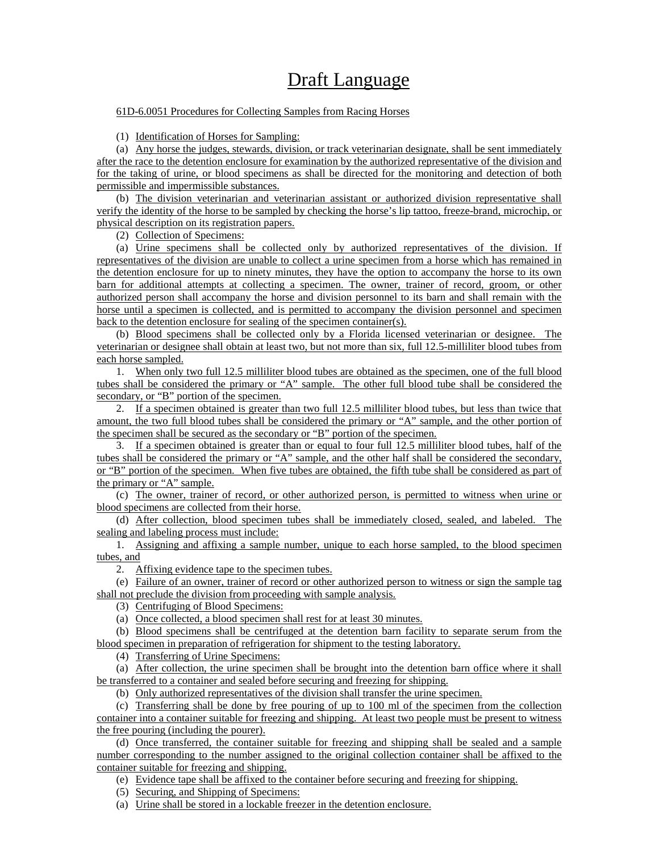# Draft Language

### 61D-6.0051 Procedures for Collecting Samples from Racing Horses

(1) Identification of Horses for Sampling:

(a) Any horse the judges, stewards, division, or track veterinarian designate, shall be sent immediately after the race to the detention enclosure for examination by the authorized representative of the division and for the taking of urine, or blood specimens as shall be directed for the monitoring and detection of both permissible and impermissible substances.

(b) The division veterinarian and veterinarian assistant or authorized division representative shall verify the identity of the horse to be sampled by checking the horse's lip tattoo, freeze-brand, microchip, or physical description on its registration papers.

(2) Collection of Specimens:

(a) Urine specimens shall be collected only by authorized representatives of the division. If representatives of the division are unable to collect a urine specimen from a horse which has remained in the detention enclosure for up to ninety minutes, they have the option to accompany the horse to its own barn for additional attempts at collecting a specimen. The owner, trainer of record, groom, or other authorized person shall accompany the horse and division personnel to its barn and shall remain with the horse until a specimen is collected, and is permitted to accompany the division personnel and specimen back to the detention enclosure for sealing of the specimen container(s).

(b) Blood specimens shall be collected only by a Florida licensed veterinarian or designee. The veterinarian or designee shall obtain at least two, but not more than six, full 12.5-milliliter blood tubes from each horse sampled.

1. When only two full 12.5 milliliter blood tubes are obtained as the specimen, one of the full blood tubes shall be considered the primary or "A" sample. The other full blood tube shall be considered the secondary, or "B" portion of the specimen.

2. If a specimen obtained is greater than two full 12.5 milliliter blood tubes, but less than twice that amount, the two full blood tubes shall be considered the primary or "A" sample, and the other portion of the specimen shall be secured as the secondary or "B" portion of the specimen.

3. If a specimen obtained is greater than or equal to four full 12.5 milliliter blood tubes, half of the tubes shall be considered the primary or "A" sample, and the other half shall be considered the secondary, or "B" portion of the specimen. When five tubes are obtained, the fifth tube shall be considered as part of the primary or "A" sample.

(c) The owner, trainer of record, or other authorized person, is permitted to witness when urine or blood specimens are collected from their horse.

(d) After collection, blood specimen tubes shall be immediately closed, sealed, and labeled. The sealing and labeling process must include:

1. Assigning and affixing a sample number, unique to each horse sampled, to the blood specimen tubes, and

2. Affixing evidence tape to the specimen tubes.

(e) Failure of an owner, trainer of record or other authorized person to witness or sign the sample tag shall not preclude the division from proceeding with sample analysis.

(3) Centrifuging of Blood Specimens:

(a) Once collected, a blood specimen shall rest for at least 30 minutes.

(b) Blood specimens shall be centrifuged at the detention barn facility to separate serum from the blood specimen in preparation of refrigeration for shipment to the testing laboratory.

(4) Transferring of Urine Specimens:

(a) After collection, the urine specimen shall be brought into the detention barn office where it shall be transferred to a container and sealed before securing and freezing for shipping.

(b) Only authorized representatives of the division shall transfer the urine specimen.

(c) Transferring shall be done by free pouring of up to 100 ml of the specimen from the collection container into a container suitable for freezing and shipping. At least two people must be present to witness the free pouring (including the pourer).

(d) Once transferred, the container suitable for freezing and shipping shall be sealed and a sample number corresponding to the number assigned to the original collection container shall be affixed to the container suitable for freezing and shipping.

(e) Evidence tape shall be affixed to the container before securing and freezing for shipping.

(5) Securing, and Shipping of Specimens:

(a) Urine shall be stored in a lockable freezer in the detention enclosure.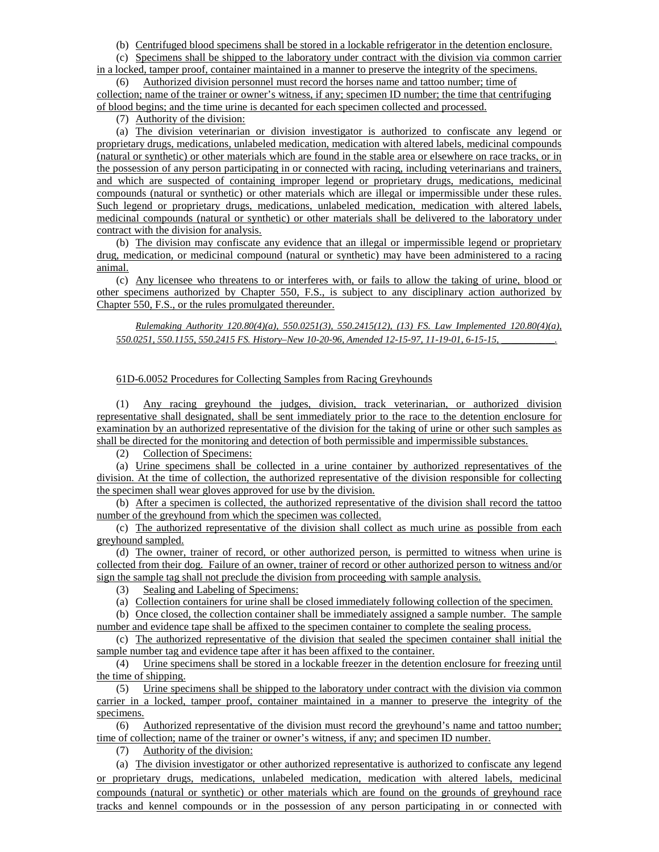(b) Centrifuged blood specimens shall be stored in a lockable refrigerator in the detention enclosure.

(c) Specimens shall be shipped to the laboratory under contract with the division via common carrier

in a locked, tamper proof, container maintained in a manner to preserve the integrity of the specimens. (6) Authorized division personnel must record the horses name and tattoo number; time of

collection; name of the trainer or owner's witness, if any; specimen ID number; the time that centrifuging of blood begins; and the time urine is decanted for each specimen collected and processed.

(7) Authority of the division:

(a) The division veterinarian or division investigator is authorized to confiscate any legend or proprietary drugs, medications, unlabeled medication, medication with altered labels, medicinal compounds (natural or synthetic) or other materials which are found in the stable area or elsewhere on race tracks, or in the possession of any person participating in or connected with racing, including veterinarians and trainers, and which are suspected of containing improper legend or proprietary drugs, medications, medicinal compounds (natural or synthetic) or other materials which are illegal or impermissible under these rules. Such legend or proprietary drugs, medications, unlabeled medication, medication with altered labels, medicinal compounds (natural or synthetic) or other materials shall be delivered to the laboratory under contract with the division for analysis.

(b) The division may confiscate any evidence that an illegal or impermissible legend or proprietary drug, medication, or medicinal compound (natural or synthetic) may have been administered to a racing animal.

(c) Any licensee who threatens to or interferes with, or fails to allow the taking of urine, blood or other specimens authorized by Chapter 550, F.S., is subject to any disciplinary action authorized by Chapter 550, F.S., or the rules promulgated thereunder.

*Rulemaking Authority 120.80(4)(a), 550.0251(3), 550.2415(12), (13) FS. Law Implemented 120.80(4)(a), 550.0251, 550.1155, 550.2415 FS. History–New 10-20-96, Amended 12-15-97, 11-19-01, 6-15-15, \_\_\_\_\_\_\_\_\_\_\_.*

#### 61D-6.0052 Procedures for Collecting Samples from Racing Greyhounds

(1) Any racing greyhound the judges, division, track veterinarian, or authorized division representative shall designated, shall be sent immediately prior to the race to the detention enclosure for examination by an authorized representative of the division for the taking of urine or other such samples as shall be directed for the monitoring and detection of both permissible and impermissible substances.

(2) Collection of Specimens:

(a) Urine specimens shall be collected in a urine container by authorized representatives of the division. At the time of collection, the authorized representative of the division responsible for collecting the specimen shall wear gloves approved for use by the division.

(b) After a specimen is collected, the authorized representative of the division shall record the tattoo number of the greyhound from which the specimen was collected.

(c) The authorized representative of the division shall collect as much urine as possible from each greyhound sampled.

(d) The owner, trainer of record, or other authorized person, is permitted to witness when urine is collected from their dog. Failure of an owner, trainer of record or other authorized person to witness and/or sign the sample tag shall not preclude the division from proceeding with sample analysis.

(3) Sealing and Labeling of Specimens:

(a) Collection containers for urine shall be closed immediately following collection of the specimen.

(b) Once closed, the collection container shall be immediately assigned a sample number. The sample number and evidence tape shall be affixed to the specimen container to complete the sealing process.

(c) The authorized representative of the division that sealed the specimen container shall initial the sample number tag and evidence tape after it has been affixed to the container.

(4) Urine specimens shall be stored in a lockable freezer in the detention enclosure for freezing until the time of shipping.

(5) Urine specimens shall be shipped to the laboratory under contract with the division via common carrier in a locked, tamper proof, container maintained in a manner to preserve the integrity of the specimens.

(6) Authorized representative of the division must record the greyhound's name and tattoo number; time of collection; name of the trainer or owner's witness, if any; and specimen ID number.

(7) Authority of the division:

(a) The division investigator or other authorized representative is authorized to confiscate any legend or proprietary drugs, medications, unlabeled medication, medication with altered labels, medicinal compounds (natural or synthetic) or other materials which are found on the grounds of greyhound race tracks and kennel compounds or in the possession of any person participating in or connected with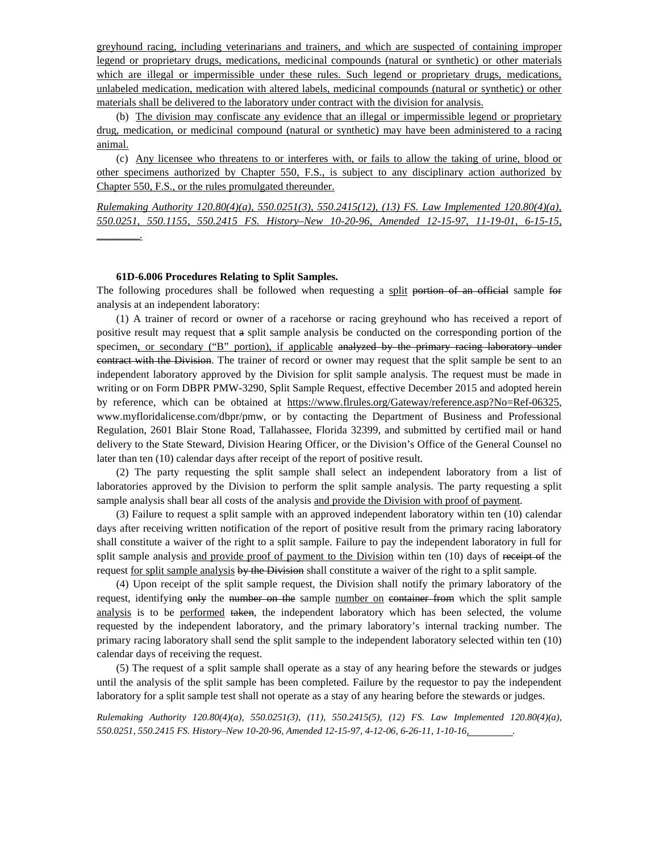greyhound racing, including veterinarians and trainers, and which are suspected of containing improper legend or proprietary drugs, medications, medicinal compounds (natural or synthetic) or other materials which are illegal or impermissible under these rules. Such legend or proprietary drugs, medications, unlabeled medication, medication with altered labels, medicinal compounds (natural or synthetic) or other materials shall be delivered to the laboratory under contract with the division for analysis.

(b) The division may confiscate any evidence that an illegal or impermissible legend or proprietary drug, medication, or medicinal compound (natural or synthetic) may have been administered to a racing animal.

(c) Any licensee who threatens to or interferes with, or fails to allow the taking of urine, blood or other specimens authorized by Chapter 550, F.S., is subject to any disciplinary action authorized by Chapter 550, F.S., or the rules promulgated thereunder.

*Rulemaking Authority 120.80(4)(a), 550.0251(3), 550.2415(12), (13) FS. Law Implemented 120.80(4)(a), 550.0251, 550.1155, 550.2415 FS. History–New 10-20-96, Amended 12-15-97, 11-19-01, 6-15-15, \_\_\_\_\_\_\_\_.*

#### **61D-6.006 Procedures Relating to Split Samples.**

The following procedures shall be followed when requesting a split portion of an official sample for analysis at an independent laboratory:

(1) A trainer of record or owner of a racehorse or racing greyhound who has received a report of positive result may request that a split sample analysis be conducted on the corresponding portion of the specimen, or secondary ("B" portion), if applicable analyzed by the primary racing laboratory under contract with the Division. The trainer of record or owner may request that the split sample be sent to an independent laboratory approved by the Division for split sample analysis. The request must be made in writing or on Form DBPR PMW-3290, Split Sample Request, effective December 2015 and adopted herein by reference, which can be obtained at [https://www.flrules.org/Gateway/reference.asp?No=Ref-06325,](https://www.flrules.org/Gateway/reference.asp?No=Ref-06325) www.myfloridalicense.com/dbpr/pmw, or by contacting the Department of Business and Professional Regulation, 2601 Blair Stone Road, Tallahassee, Florida 32399, and submitted by certified mail or hand delivery to the State Steward, Division Hearing Officer, or the Division's Office of the General Counsel no later than ten (10) calendar days after receipt of the report of positive result.

(2) The party requesting the split sample shall select an independent laboratory from a list of laboratories approved by the Division to perform the split sample analysis. The party requesting a split sample analysis shall bear all costs of the analysis and provide the Division with proof of payment.

(3) Failure to request a split sample with an approved independent laboratory within ten (10) calendar days after receiving written notification of the report of positive result from the primary racing laboratory shall constitute a waiver of the right to a split sample. Failure to pay the independent laboratory in full for split sample analysis and provide proof of payment to the Division within ten (10) days of receipt of the request for split sample analysis by the Division shall constitute a waiver of the right to a split sample.

(4) Upon receipt of the split sample request, the Division shall notify the primary laboratory of the request, identifying only the number on the sample number on container from which the split sample analysis is to be performed taken, the independent laboratory which has been selected, the volume requested by the independent laboratory, and the primary laboratory's internal tracking number. The primary racing laboratory shall send the split sample to the independent laboratory selected within ten (10) calendar days of receiving the request.

(5) The request of a split sample shall operate as a stay of any hearing before the stewards or judges until the analysis of the split sample has been completed. Failure by the requestor to pay the independent laboratory for a split sample test shall not operate as a stay of any hearing before the stewards or judges.

*Rulemaking Authority 120.80(4)(a), 550.0251(3), (11), 550.2415(5), (12) FS. Law Implemented 120.80(4)(a), 550.0251, 550.2415 FS. History–New 10-20-96, Amended 12-15-97, 4-12-06, 6-26-11, 1-10-16, .*